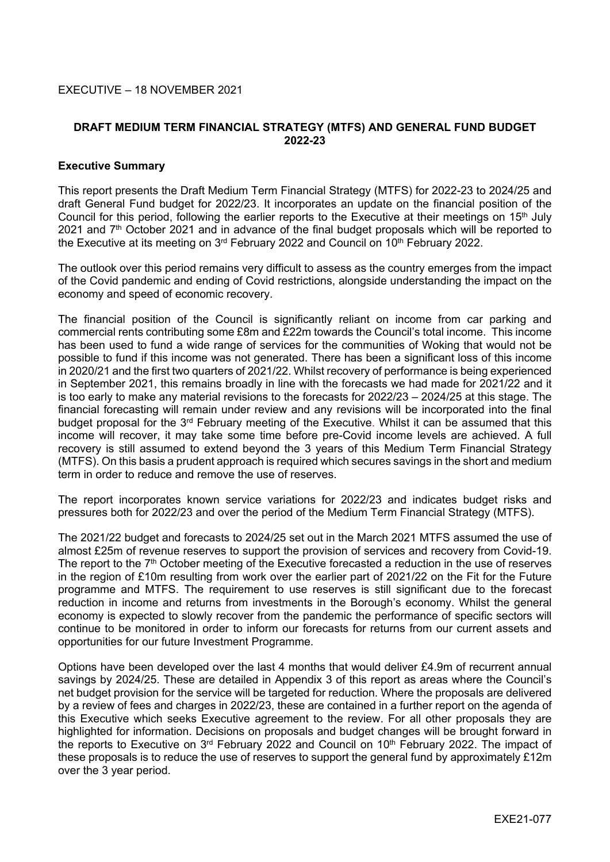## EXECUTIVE – 18 NOVEMBER 2021

## **DRAFT MEDIUM TERM FINANCIAL STRATEGY (MTFS) AND GENERAL FUND BUDGET 2022-23**

#### **Executive Summary**

This report presents the Draft Medium Term Financial Strategy (MTFS) for 2022-23 to 2024/25 and draft General Fund budget for 2022/23. It incorporates an update on the financial position of the Council for this period, following the earlier reports to the Executive at their meetings on 15<sup>th</sup> July 2021 and 7<sup>th</sup> October 2021 and in advance of the final budget proposals which will be reported to the Executive at its meeting on 3<sup>rd</sup> February 2022 and Council on 10<sup>th</sup> February 2022.

The outlook over this period remains very difficult to assess as the country emerges from the impact of the Covid pandemic and ending of Covid restrictions, alongside understanding the impact on the economy and speed of economic recovery.

The financial position of the Council is significantly reliant on income from car parking and commercial rents contributing some £8m and £22m towards the Council's total income. This income has been used to fund a wide range of services for the communities of Woking that would not be possible to fund if this income was not generated. There has been a significant loss of this income in 2020/21 and the first two quarters of 2021/22. Whilst recovery of performance is being experienced in September 2021, this remains broadly in line with the forecasts we had made for 2021/22 and it is too early to make any material revisions to the forecasts for 2022/23 – 2024/25 at this stage. The financial forecasting will remain under review and any revisions will be incorporated into the final budget proposal for the 3<sup>rd</sup> February meeting of the Executive. Whilst it can be assumed that this income will recover, it may take some time before pre-Covid income levels are achieved. A full recovery is still assumed to extend beyond the 3 years of this Medium Term Financial Strategy (MTFS). On this basis a prudent approach is required which secures savings in the short and medium term in order to reduce and remove the use of reserves.

The report incorporates known service variations for 2022/23 and indicates budget risks and pressures both for 2022/23 and over the period of the Medium Term Financial Strategy (MTFS).

The 2021/22 budget and forecasts to 2024/25 set out in the March 2021 MTFS assumed the use of almost £25m of revenue reserves to support the provision of services and recovery from Covid-19. The report to the  $7<sup>th</sup>$  October meeting of the Executive forecasted a reduction in the use of reserves in the region of £10m resulting from work over the earlier part of 2021/22 on the Fit for the Future programme and MTFS. The requirement to use reserves is still significant due to the forecast reduction in income and returns from investments in the Borough's economy. Whilst the general economy is expected to slowly recover from the pandemic the performance of specific sectors will continue to be monitored in order to inform our forecasts for returns from our current assets and opportunities for our future Investment Programme.

Options have been developed over the last 4 months that would deliver £4.9m of recurrent annual savings by 2024/25. These are detailed in Appendix 3 of this report as areas where the Council's net budget provision for the service will be targeted for reduction. Where the proposals are delivered by a review of fees and charges in 2022/23, these are contained in a further report on the agenda of this Executive which seeks Executive agreement to the review. For all other proposals they are highlighted for information. Decisions on proposals and budget changes will be brought forward in the reports to Executive on 3<sup>rd</sup> February 2022 and Council on 10<sup>th</sup> February 2022. The impact of these proposals is to reduce the use of reserves to support the general fund by approximately £12m over the 3 year period.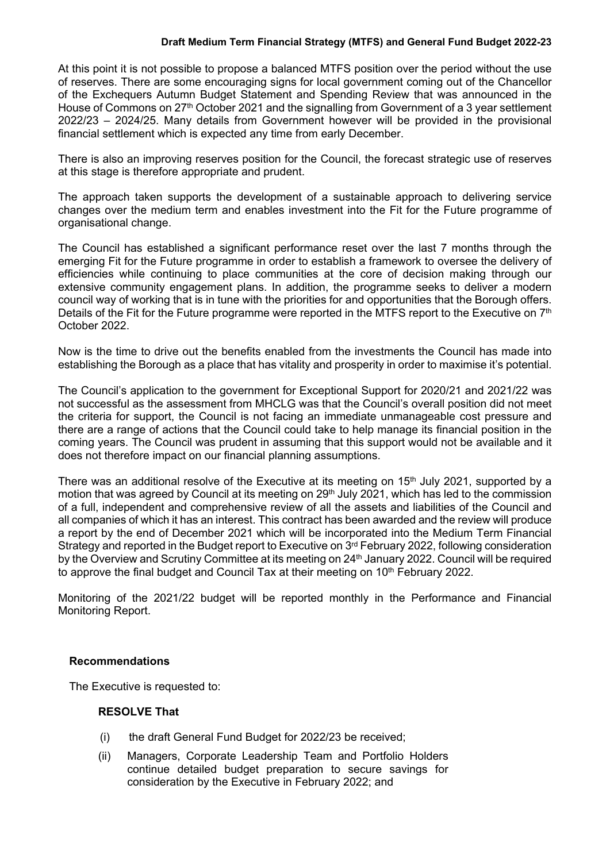At this point it is not possible to propose a balanced MTFS position over the period without the use of reserves. There are some encouraging signs for local government coming out of the Chancellor of the Exchequers Autumn Budget Statement and Spending Review that was announced in the House of Commons on 27<sup>th</sup> October 2021 and the signalling from Government of a 3 year settlement 2022/23 – 2024/25. Many details from Government however will be provided in the provisional financial settlement which is expected any time from early December.

There is also an improving reserves position for the Council, the forecast strategic use of reserves at this stage is therefore appropriate and prudent.

The approach taken supports the development of a sustainable approach to delivering service changes over the medium term and enables investment into the Fit for the Future programme of organisational change.

The Council has established a significant performance reset over the last 7 months through the emerging Fit for the Future programme in order to establish a framework to oversee the delivery of efficiencies while continuing to place communities at the core of decision making through our extensive community engagement plans. In addition, the programme seeks to deliver a modern council way of working that is in tune with the priorities for and opportunities that the Borough offers. Details of the Fit for the Future programme were reported in the MTFS report to the Executive on 7<sup>th</sup> October 2022.

Now is the time to drive out the benefits enabled from the investments the Council has made into establishing the Borough as a place that has vitality and prosperity in order to maximise it's potential.

The Council's application to the government for Exceptional Support for 2020/21 and 2021/22 was not successful as the assessment from MHCLG was that the Council's overall position did not meet the criteria for support, the Council is not facing an immediate unmanageable cost pressure and there are a range of actions that the Council could take to help manage its financial position in the coming years. The Council was prudent in assuming that this support would not be available and it does not therefore impact on our financial planning assumptions.

There was an additional resolve of the Executive at its meeting on  $15<sup>th</sup>$  July 2021, supported by a motion that was agreed by Council at its meeting on 29<sup>th</sup> July 2021, which has led to the commission of a full, independent and comprehensive review of all the assets and liabilities of the Council and all companies of which it has an interest. This contract has been awarded and the review will produce a report by the end of December 2021 which will be incorporated into the Medium Term Financial Strategy and reported in the Budget report to Executive on 3<sup>rd</sup> February 2022, following consideration by the Overview and Scrutiny Committee at its meeting on 24<sup>th</sup> January 2022. Council will be required to approve the final budget and Council Tax at their meeting on 10<sup>th</sup> February 2022.

Monitoring of the 2021/22 budget will be reported monthly in the Performance and Financial Monitoring Report.

## **Recommendations**

The Executive is requested to:

# **RESOLVE That**

- (i) the draft General Fund Budget for 2022/23 be received;
- (ii) Managers, Corporate Leadership Team and Portfolio Holders continue detailed budget preparation to secure savings for consideration by the Executive in February 2022; and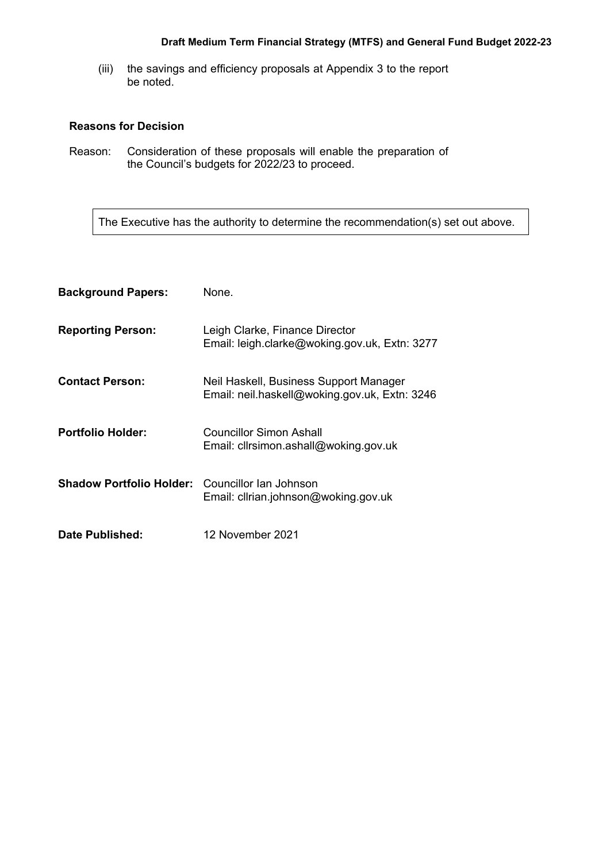(iii) the savings and efficiency proposals at Appendix 3 to the report be noted.

## **Reasons for Decision**

Reason: Consideration of these proposals will enable the preparation of the Council's budgets for 2022/23 to proceed.

The Executive has the authority to determine the recommendation(s) set out above.

| <b>Background Papers:</b>                              | None.                                                                                   |
|--------------------------------------------------------|-----------------------------------------------------------------------------------------|
| <b>Reporting Person:</b>                               | Leigh Clarke, Finance Director<br>Email: leigh.clarke@woking.gov.uk, Extn: 3277         |
| <b>Contact Person:</b>                                 | Neil Haskell, Business Support Manager<br>Email: neil.haskell@woking.gov.uk, Extn: 3246 |
| <b>Portfolio Holder:</b>                               | Councillor Simon Ashall<br>Email: cllrsimon.ashall@woking.gov.uk                        |
| <b>Shadow Portfolio Holder:</b> Councillor lan Johnson | Email: clirian.johnson@woking.gov.uk                                                    |
| Date Published:                                        | 12 November 2021                                                                        |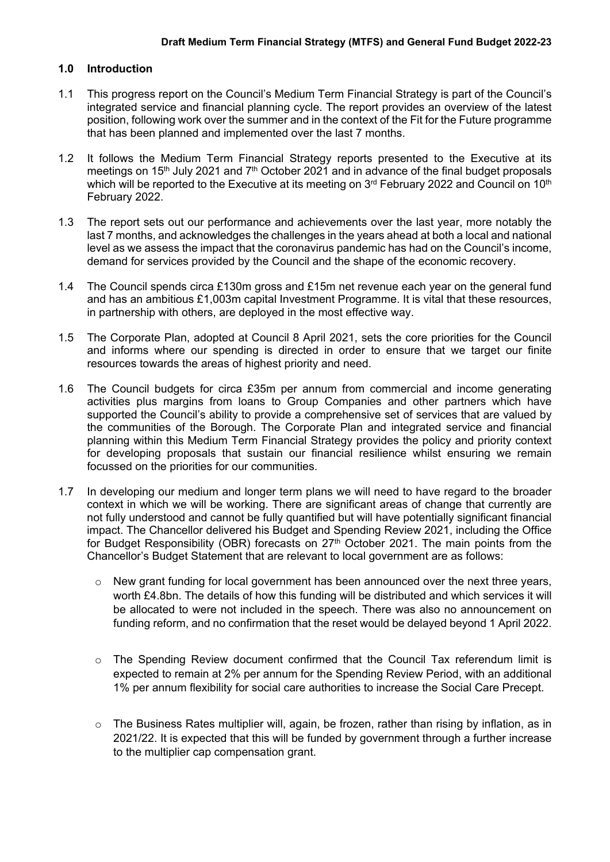## **1.0 Introduction**

- 1.1 This progress report on the Council's Medium Term Financial Strategy is part of the Council's integrated service and financial planning cycle. The report provides an overview of the latest position, following work over the summer and in the context of the Fit for the Future programme that has been planned and implemented over the last 7 months.
- 1.2 It follows the Medium Term Financial Strategy reports presented to the Executive at its meetings on 15<sup>th</sup> July 2021 and 7<sup>th</sup> October 2021 and in advance of the final budget proposals which will be reported to the Executive at its meeting on 3<sup>rd</sup> February 2022 and Council on 10<sup>th</sup> February 2022.
- 1.3 The report sets out our performance and achievements over the last year, more notably the last 7 months, and acknowledges the challenges in the years ahead at both a local and national level as we assess the impact that the coronavirus pandemic has had on the Council's income, demand for services provided by the Council and the shape of the economic recovery.
- 1.4 The Council spends circa £130m gross and £15m net revenue each year on the general fund and has an ambitious £1,003m capital Investment Programme. It is vital that these resources, in partnership with others, are deployed in the most effective way.
- 1.5 The Corporate Plan, adopted at Council 8 April 2021, sets the core priorities for the Council and informs where our spending is directed in order to ensure that we target our finite resources towards the areas of highest priority and need.
- 1.6 The Council budgets for circa £35m per annum from commercial and income generating activities plus margins from loans to Group Companies and other partners which have supported the Council's ability to provide a comprehensive set of services that are valued by the communities of the Borough. The Corporate Plan and integrated service and financial planning within this Medium Term Financial Strategy provides the policy and priority context for developing proposals that sustain our financial resilience whilst ensuring we remain focussed on the priorities for our communities.
- 1.7 In developing our medium and longer term plans we will need to have regard to the broader context in which we will be working. There are significant areas of change that currently are not fully understood and cannot be fully quantified but will have potentially significant financial impact. The Chancellor delivered his Budget and Spending Review 2021, including the Office for Budget Responsibility (OBR) forecasts on  $27<sup>th</sup>$  October 2021. The main points from the Chancellor's Budget Statement that are relevant to local government are as follows:
	- o New grant funding for local government has been announced over the next three years, worth £4.8bn. The details of how this funding will be distributed and which services it will be allocated to were not included in the speech. There was also no announcement on funding reform, and no confirmation that the reset would be delayed beyond 1 April 2022.
	- $\circ$  The Spending Review document confirmed that the Council Tax referendum limit is expected to remain at 2% per annum for the Spending Review Period, with an additional 1% per annum flexibility for social care authorities to increase the Social Care Precept.
	- $\circ$  The Business Rates multiplier will, again, be frozen, rather than rising by inflation, as in 2021/22. It is expected that this will be funded by government through a further increase to the multiplier cap compensation grant.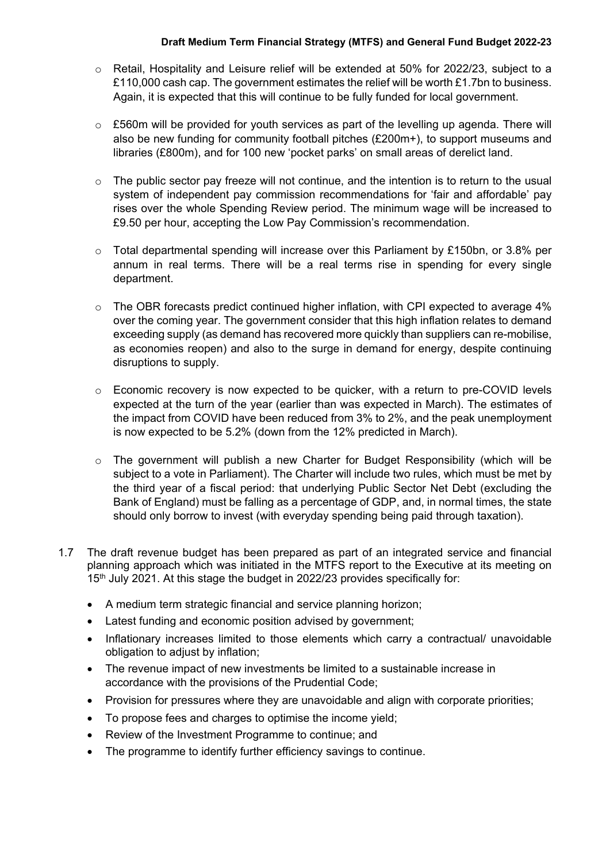- $\circ$  Retail, Hospitality and Leisure relief will be extended at 50% for 2022/23, subject to a £110,000 cash cap. The government estimates the relief will be worth £1.7bn to business. Again, it is expected that this will continue to be fully funded for local government.
- $\circ$  £560m will be provided for youth services as part of the levelling up agenda. There will also be new funding for community football pitches (£200m+), to support museums and libraries (£800m), and for 100 new 'pocket parks' on small areas of derelict land.
- $\circ$  The public sector pay freeze will not continue, and the intention is to return to the usual system of independent pay commission recommendations for 'fair and affordable' pay rises over the whole Spending Review period. The minimum wage will be increased to £9.50 per hour, accepting the Low Pay Commission's recommendation.
- $\circ$  Total departmental spending will increase over this Parliament by £150bn, or 3.8% per annum in real terms. There will be a real terms rise in spending for every single department.
- o The OBR forecasts predict continued higher inflation, with CPI expected to average 4% over the coming year. The government consider that this high inflation relates to demand exceeding supply (as demand has recovered more quickly than suppliers can re-mobilise, as economies reopen) and also to the surge in demand for energy, despite continuing disruptions to supply.
- $\circ$  Economic recovery is now expected to be quicker, with a return to pre-COVID levels expected at the turn of the year (earlier than was expected in March). The estimates of the impact from COVID have been reduced from 3% to 2%, and the peak unemployment is now expected to be 5.2% (down from the 12% predicted in March).
- o The government will publish a new Charter for Budget Responsibility (which will be subject to a vote in Parliament). The Charter will include two rules, which must be met by the third year of a fiscal period: that underlying Public Sector Net Debt (excluding the Bank of England) must be falling as a percentage of GDP, and, in normal times, the state should only borrow to invest (with everyday spending being paid through taxation).
- 1.7 The draft revenue budget has been prepared as part of an integrated service and financial planning approach which was initiated in the MTFS report to the Executive at its meeting on 15<sup>th</sup> July 2021. At this stage the budget in 2022/23 provides specifically for:
	- A medium term strategic financial and service planning horizon;
	- Latest funding and economic position advised by government;
	- Inflationary increases limited to those elements which carry a contractual/ unavoidable obligation to adjust by inflation;
	- The revenue impact of new investments be limited to a sustainable increase in accordance with the provisions of the Prudential Code;
	- Provision for pressures where they are unavoidable and align with corporate priorities;
	- To propose fees and charges to optimise the income yield;
	- Review of the Investment Programme to continue; and
	- The programme to identify further efficiency savings to continue.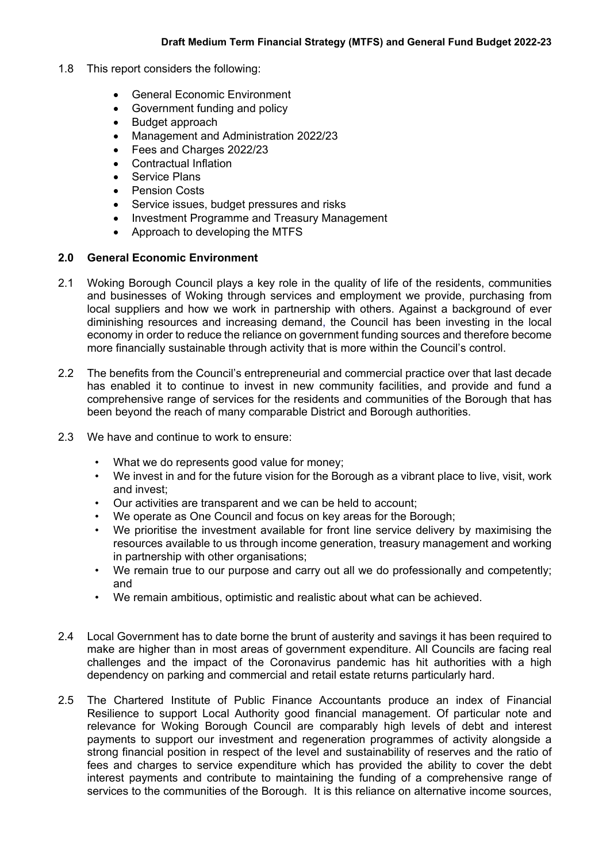- 1.8 This report considers the following:
	- General Economic Environment
	- Government funding and policy
	- Budget approach
	- Management and Administration 2022/23
	- Fees and Charges 2022/23
	- Contractual Inflation
	- Service Plans
	- Pension Costs
	- Service issues, budget pressures and risks
	- Investment Programme and Treasury Management
	- Approach to developing the MTFS

#### **2.0 General Economic Environment**

- 2.1 Woking Borough Council plays a key role in the quality of life of the residents, communities and businesses of Woking through services and employment we provide, purchasing from local suppliers and how we work in partnership with others. Against a background of ever diminishing resources and increasing demand, the Council has been investing in the local economy in order to reduce the reliance on government funding sources and therefore become more financially sustainable through activity that is more within the Council's control.
- 2.2 The benefits from the Council's entrepreneurial and commercial practice over that last decade has enabled it to continue to invest in new community facilities, and provide and fund a comprehensive range of services for the residents and communities of the Borough that has been beyond the reach of many comparable District and Borough authorities.
- 2.3 We have and continue to work to ensure:
	- What we do represents good value for money;
	- We invest in and for the future vision for the Borough as a vibrant place to live, visit, work and invest;
	- Our activities are transparent and we can be held to account;
	- We operate as One Council and focus on key areas for the Borough;
	- We prioritise the investment available for front line service delivery by maximising the resources available to us through income generation, treasury management and working in partnership with other organisations;
	- We remain true to our purpose and carry out all we do professionally and competently; and
	- We remain ambitious, optimistic and realistic about what can be achieved.
- 2.4 Local Government has to date borne the brunt of austerity and savings it has been required to make are higher than in most areas of government expenditure. All Councils are facing real challenges and the impact of the Coronavirus pandemic has hit authorities with a high dependency on parking and commercial and retail estate returns particularly hard.
- 2.5 The Chartered Institute of Public Finance Accountants produce an index of Financial Resilience to support Local Authority good financial management. Of particular note and relevance for Woking Borough Council are comparably high levels of debt and interest payments to support our investment and regeneration programmes of activity alongside a strong financial position in respect of the level and sustainability of reserves and the ratio of fees and charges to service expenditure which has provided the ability to cover the debt interest payments and contribute to maintaining the funding of a comprehensive range of services to the communities of the Borough. It is this reliance on alternative income sources,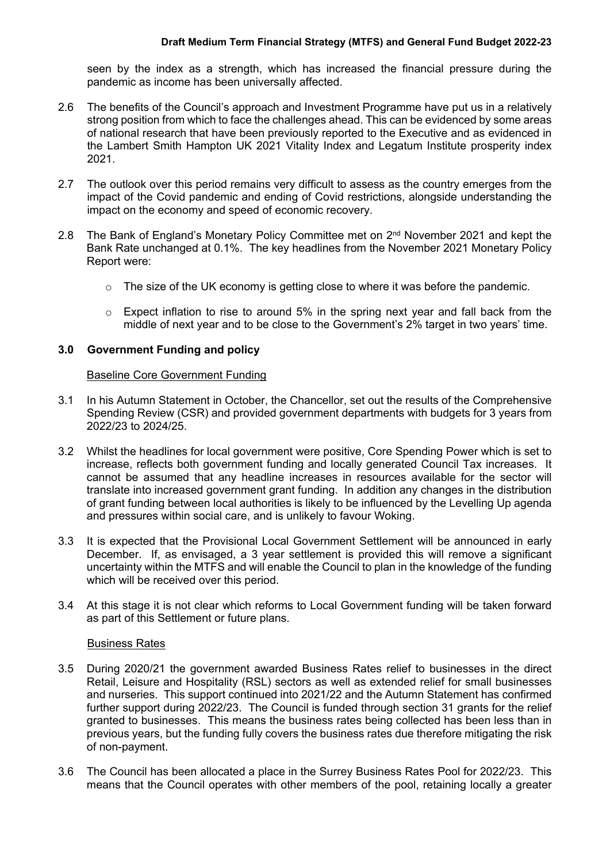seen by the index as a strength, which has increased the financial pressure during the pandemic as income has been universally affected.

- 2.6 The benefits of the Council's approach and Investment Programme have put us in a relatively strong position from which to face the challenges ahead. This can be evidenced by some areas of national research that have been previously reported to the Executive and as evidenced in the Lambert Smith Hampton UK 2021 Vitality Index and Legatum Institute prosperity index 2021.
- 2.7 The outlook over this period remains very difficult to assess as the country emerges from the impact of the Covid pandemic and ending of Covid restrictions, alongside understanding the impact on the economy and speed of economic recovery.
- 2.8 The Bank of England's Monetary Policy Committee met on 2<sup>nd</sup> November 2021 and kept the Bank Rate unchanged at 0.1%. The key headlines from the November 2021 Monetary Policy Report were:
	- $\circ$  The size of the UK economy is getting close to where it was before the pandemic.
	- o Expect inflation to rise to around 5% in the spring next year and fall back from the middle of next year and to be close to the Government's 2% target in two years' time.

## **3.0 Government Funding and policy**

### Baseline Core Government Funding

- 3.1 In his Autumn Statement in October, the Chancellor, set out the results of the Comprehensive Spending Review (CSR) and provided government departments with budgets for 3 years from 2022/23 to 2024/25.
- 3.2 Whilst the headlines for local government were positive, Core Spending Power which is set to increase, reflects both government funding and locally generated Council Tax increases. It cannot be assumed that any headline increases in resources available for the sector will translate into increased government grant funding. In addition any changes in the distribution of grant funding between local authorities is likely to be influenced by the Levelling Up agenda and pressures within social care, and is unlikely to favour Woking.
- 3.3 It is expected that the Provisional Local Government Settlement will be announced in early December. If, as envisaged, a 3 year settlement is provided this will remove a significant uncertainty within the MTFS and will enable the Council to plan in the knowledge of the funding which will be received over this period.
- 3.4 At this stage it is not clear which reforms to Local Government funding will be taken forward as part of this Settlement or future plans.

#### Business Rates

- 3.5 During 2020/21 the government awarded Business Rates relief to businesses in the direct Retail, Leisure and Hospitality (RSL) sectors as well as extended relief for small businesses and nurseries. This support continued into 2021/22 and the Autumn Statement has confirmed further support during 2022/23. The Council is funded through section 31 grants for the relief granted to businesses. This means the business rates being collected has been less than in previous years, but the funding fully covers the business rates due therefore mitigating the risk of non-payment.
- 3.6 The Council has been allocated a place in the Surrey Business Rates Pool for 2022/23. This means that the Council operates with other members of the pool, retaining locally a greater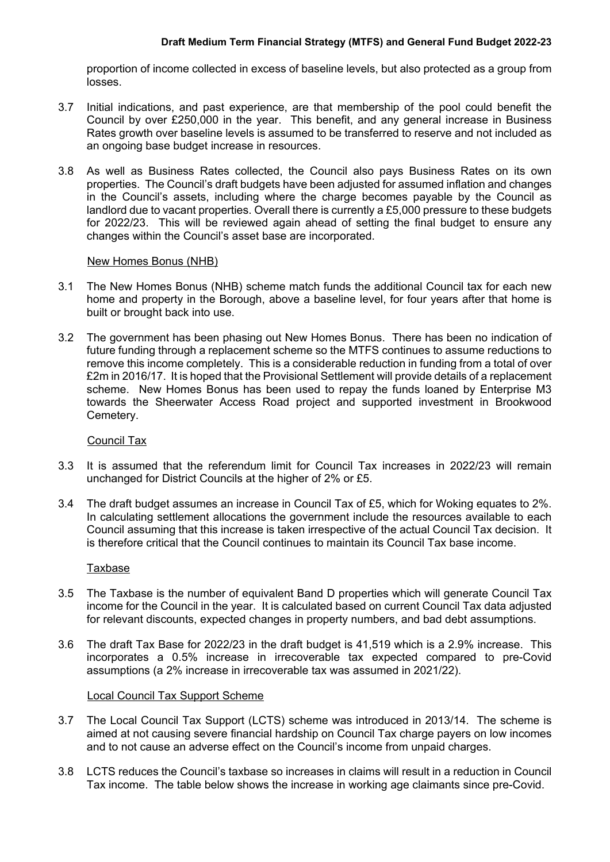proportion of income collected in excess of baseline levels, but also protected as a group from losses.

- 3.7 Initial indications, and past experience, are that membership of the pool could benefit the Council by over £250,000 in the year. This benefit, and any general increase in Business Rates growth over baseline levels is assumed to be transferred to reserve and not included as an ongoing base budget increase in resources.
- 3.8 As well as Business Rates collected, the Council also pays Business Rates on its own properties. The Council's draft budgets have been adjusted for assumed inflation and changes in the Council's assets, including where the charge becomes payable by the Council as landlord due to vacant properties. Overall there is currently a £5,000 pressure to these budgets for 2022/23. This will be reviewed again ahead of setting the final budget to ensure any changes within the Council's asset base are incorporated.

### New Homes Bonus (NHB)

- 3.1 The New Homes Bonus (NHB) scheme match funds the additional Council tax for each new home and property in the Borough, above a baseline level, for four years after that home is built or brought back into use.
- 3.2 The government has been phasing out New Homes Bonus. There has been no indication of future funding through a replacement scheme so the MTFS continues to assume reductions to remove this income completely. This is a considerable reduction in funding from a total of over £2m in 2016/17. It is hoped that the Provisional Settlement will provide details of a replacement scheme. New Homes Bonus has been used to repay the funds loaned by Enterprise M3 towards the Sheerwater Access Road project and supported investment in Brookwood Cemetery.

#### Council Tax

- 3.3 It is assumed that the referendum limit for Council Tax increases in 2022/23 will remain unchanged for District Councils at the higher of 2% or £5.
- 3.4 The draft budget assumes an increase in Council Tax of £5, which for Woking equates to 2%. In calculating settlement allocations the government include the resources available to each Council assuming that this increase is taken irrespective of the actual Council Tax decision. It is therefore critical that the Council continues to maintain its Council Tax base income.

#### Taxbase

- 3.5 The Taxbase is the number of equivalent Band D properties which will generate Council Tax income for the Council in the year. It is calculated based on current Council Tax data adjusted for relevant discounts, expected changes in property numbers, and bad debt assumptions.
- 3.6 The draft Tax Base for 2022/23 in the draft budget is 41,519 which is a 2.9% increase. This incorporates a 0.5% increase in irrecoverable tax expected compared to pre-Covid assumptions (a 2% increase in irrecoverable tax was assumed in 2021/22).

#### Local Council Tax Support Scheme

- 3.7 The Local Council Tax Support (LCTS) scheme was introduced in 2013/14. The scheme is aimed at not causing severe financial hardship on Council Tax charge payers on low incomes and to not cause an adverse effect on the Council's income from unpaid charges.
- 3.8 LCTS reduces the Council's taxbase so increases in claims will result in a reduction in Council Tax income. The table below shows the increase in working age claimants since pre-Covid.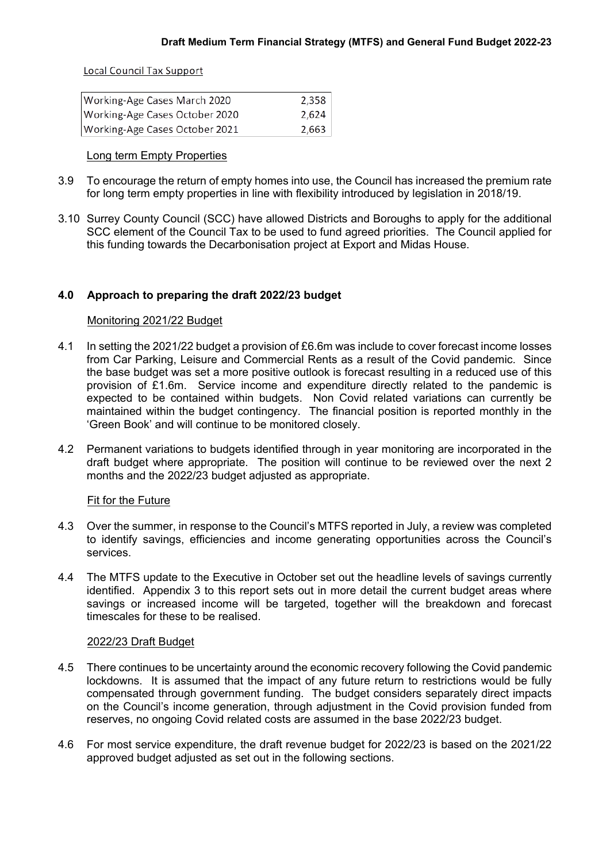**Local Council Tax Support** 

| Working-Age Cases March 2020   | 2,358 |
|--------------------------------|-------|
| Working-Age Cases October 2020 | 2,624 |
| Working-Age Cases October 2021 | 2,663 |

#### Long term Empty Properties

- 3.9 To encourage the return of empty homes into use, the Council has increased the premium rate for long term empty properties in line with flexibility introduced by legislation in 2018/19.
- 3.10 Surrey County Council (SCC) have allowed Districts and Boroughs to apply for the additional SCC element of the Council Tax to be used to fund agreed priorities. The Council applied for this funding towards the Decarbonisation project at Export and Midas House.

## **4.0 Approach to preparing the draft 2022/23 budget**

### Monitoring 2021/22 Budget

- 4.1 In setting the 2021/22 budget a provision of £6.6m was include to cover forecast income losses from Car Parking, Leisure and Commercial Rents as a result of the Covid pandemic. Since the base budget was set a more positive outlook is forecast resulting in a reduced use of this provision of £1.6m. Service income and expenditure directly related to the pandemic is expected to be contained within budgets. Non Covid related variations can currently be maintained within the budget contingency. The financial position is reported monthly in the 'Green Book' and will continue to be monitored closely.
- 4.2 Permanent variations to budgets identified through in year monitoring are incorporated in the draft budget where appropriate. The position will continue to be reviewed over the next 2 months and the 2022/23 budget adjusted as appropriate.

#### Fit for the Future

- 4.3 Over the summer, in response to the Council's MTFS reported in July, a review was completed to identify savings, efficiencies and income generating opportunities across the Council's services.
- 4.4 The MTFS update to the Executive in October set out the headline levels of savings currently identified. Appendix 3 to this report sets out in more detail the current budget areas where savings or increased income will be targeted, together will the breakdown and forecast timescales for these to be realised.

#### 2022/23 Draft Budget

- 4.5 There continues to be uncertainty around the economic recovery following the Covid pandemic lockdowns. It is assumed that the impact of any future return to restrictions would be fully compensated through government funding. The budget considers separately direct impacts on the Council's income generation, through adjustment in the Covid provision funded from reserves, no ongoing Covid related costs are assumed in the base 2022/23 budget.
- 4.6 For most service expenditure, the draft revenue budget for 2022/23 is based on the 2021/22 approved budget adjusted as set out in the following sections.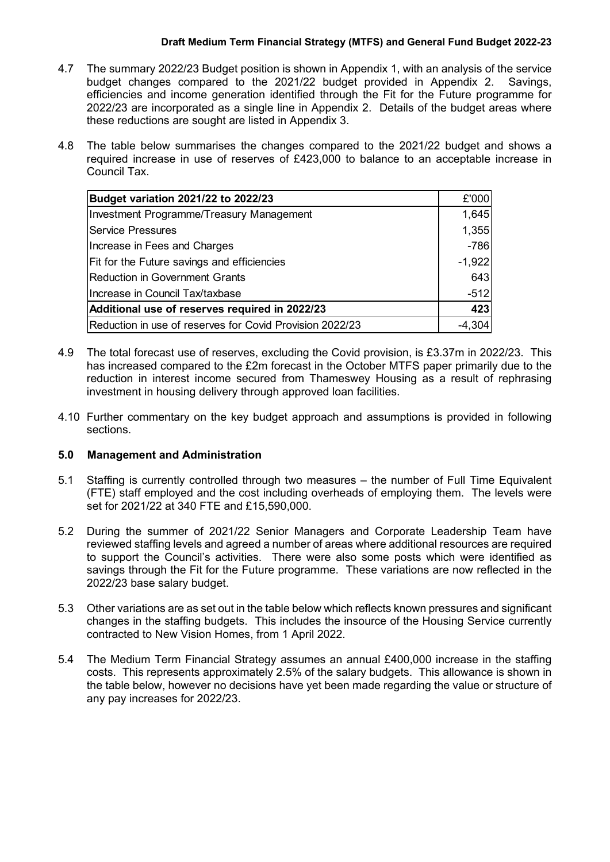- 4.7 The summary 2022/23 Budget position is shown in Appendix 1, with an analysis of the service budget changes compared to the 2021/22 budget provided in Appendix 2. Savings, efficiencies and income generation identified through the Fit for the Future programme for 2022/23 are incorporated as a single line in Appendix 2. Details of the budget areas where these reductions are sought are listed in Appendix 3.
- 4.8 The table below summarises the changes compared to the 2021/22 budget and shows a required increase in use of reserves of £423,000 to balance to an acceptable increase in Council Tax.

| <b>Budget variation 2021/22 to 2022/23</b>               |          |
|----------------------------------------------------------|----------|
| Investment Programme/Treasury Management                 | 1,645    |
| <b>Service Pressures</b>                                 | 1,355    |
| Increase in Fees and Charges                             | $-786$   |
| Fit for the Future savings and efficiencies              | $-1,922$ |
| <b>Reduction in Government Grants</b>                    | 643      |
| Increase in Council Tax/taxbase                          |          |
| Additional use of reserves required in 2022/23           |          |
| Reduction in use of reserves for Covid Provision 2022/23 | $-4,304$ |

- 4.9 The total forecast use of reserves, excluding the Covid provision, is £3.37m in 2022/23. This has increased compared to the £2m forecast in the October MTFS paper primarily due to the reduction in interest income secured from Thameswey Housing as a result of rephrasing investment in housing delivery through approved loan facilities.
- 4.10 Further commentary on the key budget approach and assumptions is provided in following sections.

## **5.0 Management and Administration**

- 5.1 Staffing is currently controlled through two measures the number of Full Time Equivalent (FTE) staff employed and the cost including overheads of employing them. The levels were set for 2021/22 at 340 FTE and £15,590,000.
- 5.2 During the summer of 2021/22 Senior Managers and Corporate Leadership Team have reviewed staffing levels and agreed a number of areas where additional resources are required to support the Council's activities. There were also some posts which were identified as savings through the Fit for the Future programme. These variations are now reflected in the 2022/23 base salary budget.
- 5.3 Other variations are as set out in the table below which reflects known pressures and significant changes in the staffing budgets. This includes the insource of the Housing Service currently contracted to New Vision Homes, from 1 April 2022.
- 5.4 The Medium Term Financial Strategy assumes an annual £400,000 increase in the staffing costs. This represents approximately 2.5% of the salary budgets. This allowance is shown in the table below, however no decisions have yet been made regarding the value or structure of any pay increases for 2022/23.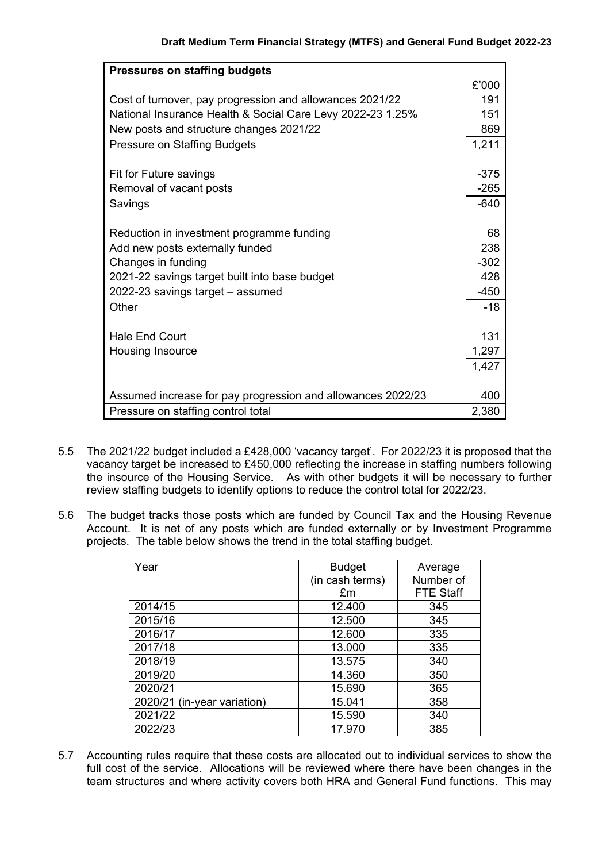| <b>Pressures on staffing budgets</b>                        |        |
|-------------------------------------------------------------|--------|
|                                                             | £'000  |
| Cost of turnover, pay progression and allowances 2021/22    | 191    |
| National Insurance Health & Social Care Levy 2022-23 1.25%  | 151    |
| New posts and structure changes 2021/22                     | 869    |
| <b>Pressure on Staffing Budgets</b>                         | 1,211  |
|                                                             |        |
| Fit for Future savings                                      | $-375$ |
| Removal of vacant posts                                     | $-265$ |
| Savings                                                     | $-640$ |
|                                                             |        |
| Reduction in investment programme funding                   | 68     |
| Add new posts externally funded                             | 238    |
| Changes in funding                                          | $-302$ |
| 2021-22 savings target built into base budget               | 428    |
| 2022-23 savings target - assumed                            | $-450$ |
| Other                                                       | $-18$  |
|                                                             |        |
| <b>Hale End Court</b>                                       | 131    |
| Housing Insource                                            | 1,297  |
|                                                             | 1,427  |
|                                                             |        |
| Assumed increase for pay progression and allowances 2022/23 | 400    |
| Pressure on staffing control total                          | 2,380  |

- 5.5 The 2021/22 budget included a £428,000 'vacancy target'. For 2022/23 it is proposed that the vacancy target be increased to £450,000 reflecting the increase in staffing numbers following the insource of the Housing Service. As with other budgets it will be necessary to further review staffing budgets to identify options to reduce the control total for 2022/23.
- 5.6 The budget tracks those posts which are funded by Council Tax and the Housing Revenue Account. It is net of any posts which are funded externally or by Investment Programme projects. The table below shows the trend in the total staffing budget.

| Year                        | <b>Budget</b>   | Average          |
|-----------------------------|-----------------|------------------|
|                             | (in cash terms) | Number of        |
|                             | £m              | <b>FTE Staff</b> |
| 2014/15                     | 12.400          | 345              |
| 2015/16                     | 12.500          | 345              |
| 2016/17                     | 12.600          | 335              |
| 2017/18                     | 13.000          | 335              |
| 2018/19                     | 13.575          | 340              |
| 2019/20                     | 14.360          | 350              |
| 2020/21                     | 15.690          | 365              |
| 2020/21 (in-year variation) | 15.041          | 358              |
| 2021/22                     | 15.590          | 340              |
| 2022/23                     | 17.970          | 385              |

5.7 Accounting rules require that these costs are allocated out to individual services to show the full cost of the service. Allocations will be reviewed where there have been changes in the team structures and where activity covers both HRA and General Fund functions. This may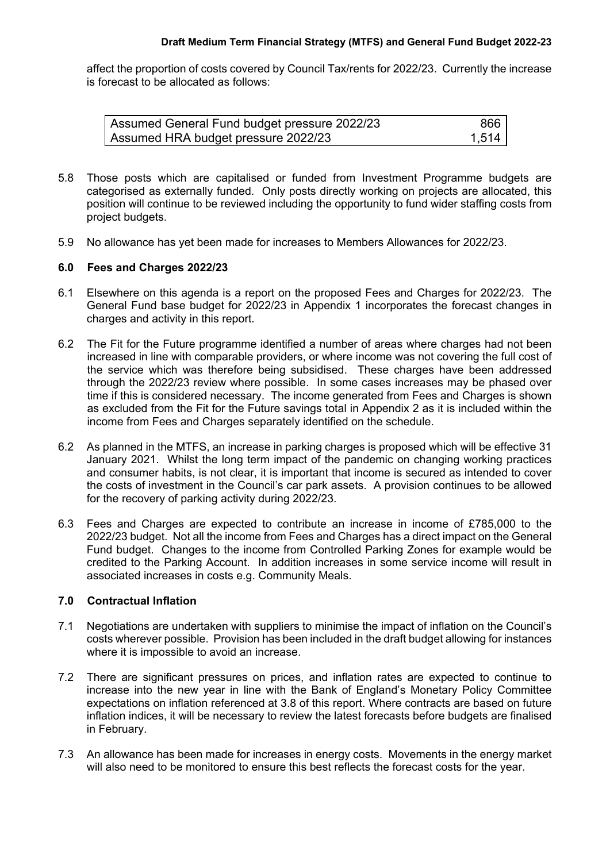affect the proportion of costs covered by Council Tax/rents for 2022/23. Currently the increase is forecast to be allocated as follows:

| Assumed General Fund budget pressure 2022/23 | 866   |
|----------------------------------------------|-------|
| Assumed HRA budget pressure 2022/23          | 1.514 |

- 5.8 Those posts which are capitalised or funded from Investment Programme budgets are categorised as externally funded. Only posts directly working on projects are allocated, this position will continue to be reviewed including the opportunity to fund wider staffing costs from project budgets.
- 5.9 No allowance has yet been made for increases to Members Allowances for 2022/23.

### **6.0 Fees and Charges 2022/23**

- 6.1 Elsewhere on this agenda is a report on the proposed Fees and Charges for 2022/23. The General Fund base budget for 2022/23 in Appendix 1 incorporates the forecast changes in charges and activity in this report.
- 6.2 The Fit for the Future programme identified a number of areas where charges had not been increased in line with comparable providers, or where income was not covering the full cost of the service which was therefore being subsidised. These charges have been addressed through the 2022/23 review where possible. In some cases increases may be phased over time if this is considered necessary. The income generated from Fees and Charges is shown as excluded from the Fit for the Future savings total in Appendix 2 as it is included within the income from Fees and Charges separately identified on the schedule.
- 6.2 As planned in the MTFS, an increase in parking charges is proposed which will be effective 31 January 2021. Whilst the long term impact of the pandemic on changing working practices and consumer habits, is not clear, it is important that income is secured as intended to cover the costs of investment in the Council's car park assets. A provision continues to be allowed for the recovery of parking activity during 2022/23.
- 6.3 Fees and Charges are expected to contribute an increase in income of £785,000 to the 2022/23 budget. Not all the income from Fees and Charges has a direct impact on the General Fund budget. Changes to the income from Controlled Parking Zones for example would be credited to the Parking Account. In addition increases in some service income will result in associated increases in costs e.g. Community Meals.

## **7.0 Contractual Inflation**

- 7.1 Negotiations are undertaken with suppliers to minimise the impact of inflation on the Council's costs wherever possible. Provision has been included in the draft budget allowing for instances where it is impossible to avoid an increase.
- 7.2 There are significant pressures on prices, and inflation rates are expected to continue to increase into the new year in line with the Bank of England's Monetary Policy Committee expectations on inflation referenced at 3.8 of this report. Where contracts are based on future inflation indices, it will be necessary to review the latest forecasts before budgets are finalised in February.
- 7.3 An allowance has been made for increases in energy costs. Movements in the energy market will also need to be monitored to ensure this best reflects the forecast costs for the year.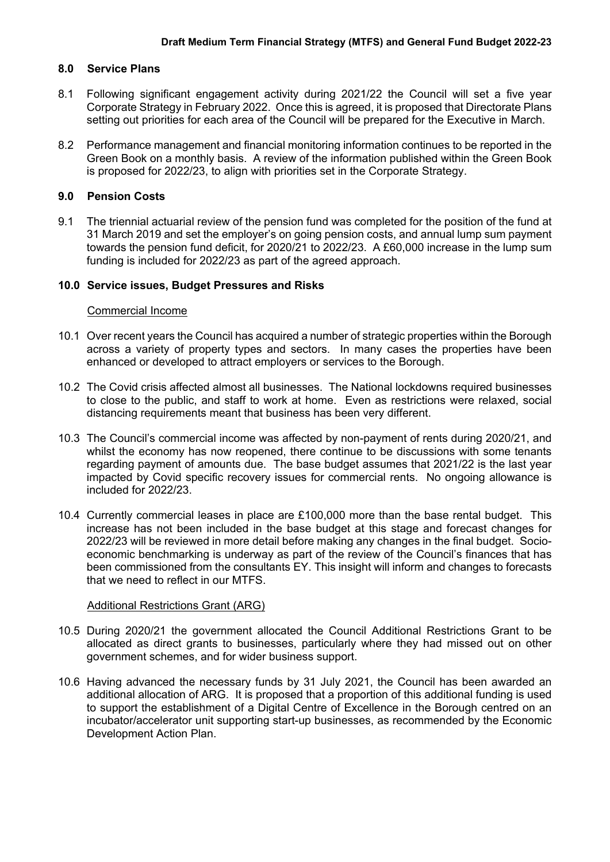### **8.0 Service Plans**

- 8.1 Following significant engagement activity during 2021/22 the Council will set a five year Corporate Strategy in February 2022. Once this is agreed, it is proposed that Directorate Plans setting out priorities for each area of the Council will be prepared for the Executive in March.
- 8.2 Performance management and financial monitoring information continues to be reported in the Green Book on a monthly basis. A review of the information published within the Green Book is proposed for 2022/23, to align with priorities set in the Corporate Strategy.

## **9.0 Pension Costs**

9.1 The triennial actuarial review of the pension fund was completed for the position of the fund at 31 March 2019 and set the employer's on going pension costs, and annual lump sum payment towards the pension fund deficit, for 2020/21 to 2022/23. A £60,000 increase in the lump sum funding is included for 2022/23 as part of the agreed approach.

## **10.0 Service issues, Budget Pressures and Risks**

#### Commercial Income

- 10.1 Over recent years the Council has acquired a number of strategic properties within the Borough across a variety of property types and sectors. In many cases the properties have been enhanced or developed to attract employers or services to the Borough.
- 10.2 The Covid crisis affected almost all businesses. The National lockdowns required businesses to close to the public, and staff to work at home. Even as restrictions were relaxed, social distancing requirements meant that business has been very different.
- 10.3 The Council's commercial income was affected by non-payment of rents during 2020/21, and whilst the economy has now reopened, there continue to be discussions with some tenants regarding payment of amounts due. The base budget assumes that 2021/22 is the last year impacted by Covid specific recovery issues for commercial rents. No ongoing allowance is included for 2022/23.
- 10.4 Currently commercial leases in place are £100,000 more than the base rental budget. This increase has not been included in the base budget at this stage and forecast changes for 2022/23 will be reviewed in more detail before making any changes in the final budget. Socioeconomic benchmarking is underway as part of the review of the Council's finances that has been commissioned from the consultants EY. This insight will inform and changes to forecasts that we need to reflect in our MTFS.

#### Additional Restrictions Grant (ARG)

- 10.5 During 2020/21 the government allocated the Council Additional Restrictions Grant to be allocated as direct grants to businesses, particularly where they had missed out on other government schemes, and for wider business support.
- 10.6 Having advanced the necessary funds by 31 July 2021, the Council has been awarded an additional allocation of ARG. It is proposed that a proportion of this additional funding is used to support the establishment of a Digital Centre of Excellence in the Borough centred on an incubator/accelerator unit supporting start-up businesses, as recommended by the Economic Development Action Plan.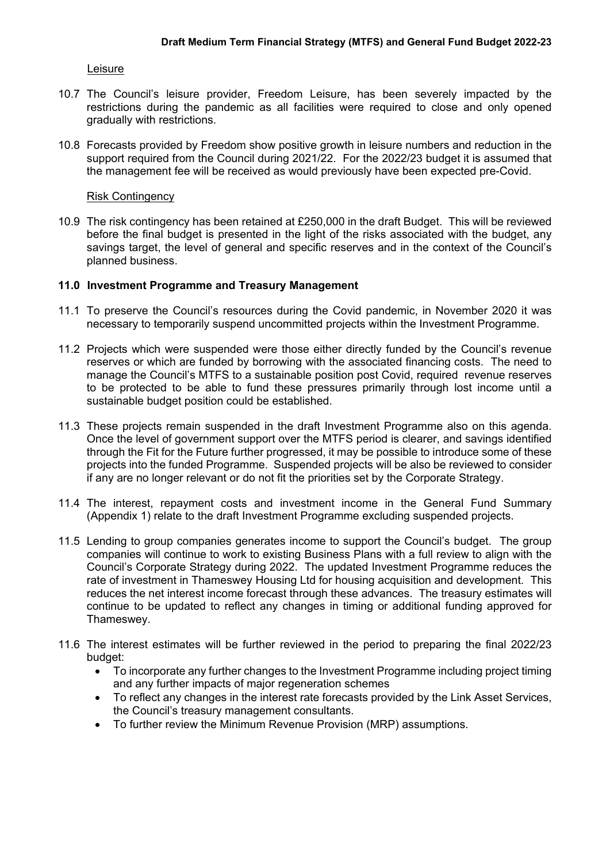#### Leisure

- 10.7 The Council's leisure provider, Freedom Leisure, has been severely impacted by the restrictions during the pandemic as all facilities were required to close and only opened gradually with restrictions.
- 10.8 Forecasts provided by Freedom show positive growth in leisure numbers and reduction in the support required from the Council during 2021/22. For the 2022/23 budget it is assumed that the management fee will be received as would previously have been expected pre-Covid.

#### Risk Contingency

10.9 The risk contingency has been retained at £250,000 in the draft Budget. This will be reviewed before the final budget is presented in the light of the risks associated with the budget, any savings target, the level of general and specific reserves and in the context of the Council's planned business.

## **11.0 Investment Programme and Treasury Management**

- 11.1 To preserve the Council's resources during the Covid pandemic, in November 2020 it was necessary to temporarily suspend uncommitted projects within the Investment Programme.
- 11.2 Projects which were suspended were those either directly funded by the Council's revenue reserves or which are funded by borrowing with the associated financing costs. The need to manage the Council's MTFS to a sustainable position post Covid, required revenue reserves to be protected to be able to fund these pressures primarily through lost income until a sustainable budget position could be established.
- 11.3 These projects remain suspended in the draft Investment Programme also on this agenda. Once the level of government support over the MTFS period is clearer, and savings identified through the Fit for the Future further progressed, it may be possible to introduce some of these projects into the funded Programme. Suspended projects will be also be reviewed to consider if any are no longer relevant or do not fit the priorities set by the Corporate Strategy.
- 11.4 The interest, repayment costs and investment income in the General Fund Summary (Appendix 1) relate to the draft Investment Programme excluding suspended projects.
- 11.5 Lending to group companies generates income to support the Council's budget. The group companies will continue to work to existing Business Plans with a full review to align with the Council's Corporate Strategy during 2022. The updated Investment Programme reduces the rate of investment in Thameswey Housing Ltd for housing acquisition and development. This reduces the net interest income forecast through these advances. The treasury estimates will continue to be updated to reflect any changes in timing or additional funding approved for Thameswey.
- 11.6 The interest estimates will be further reviewed in the period to preparing the final 2022/23 budget:
	- To incorporate any further changes to the Investment Programme including project timing and any further impacts of major regeneration schemes
	- To reflect any changes in the interest rate forecasts provided by the Link Asset Services, the Council's treasury management consultants.
	- To further review the Minimum Revenue Provision (MRP) assumptions.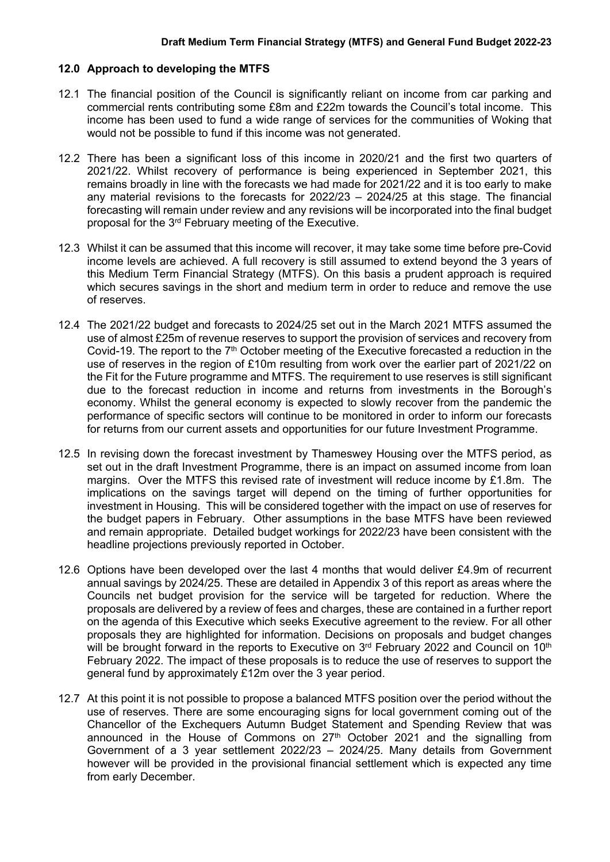### **12.0 Approach to developing the MTFS**

- 12.1 The financial position of the Council is significantly reliant on income from car parking and commercial rents contributing some £8m and £22m towards the Council's total income. This income has been used to fund a wide range of services for the communities of Woking that would not be possible to fund if this income was not generated.
- 12.2 There has been a significant loss of this income in 2020/21 and the first two quarters of 2021/22. Whilst recovery of performance is being experienced in September 2021, this remains broadly in line with the forecasts we had made for 2021/22 and it is too early to make any material revisions to the forecasts for 2022/23 – 2024/25 at this stage. The financial forecasting will remain under review and any revisions will be incorporated into the final budget proposal for the 3<sup>rd</sup> February meeting of the Executive.
- 12.3 Whilst it can be assumed that this income will recover, it may take some time before pre-Covid income levels are achieved. A full recovery is still assumed to extend beyond the 3 years of this Medium Term Financial Strategy (MTFS). On this basis a prudent approach is required which secures savings in the short and medium term in order to reduce and remove the use of reserves.
- 12.4 The 2021/22 budget and forecasts to 2024/25 set out in the March 2021 MTFS assumed the use of almost £25m of revenue reserves to support the provision of services and recovery from Covid-19. The report to the 7<sup>th</sup> October meeting of the Executive forecasted a reduction in the use of reserves in the region of £10m resulting from work over the earlier part of 2021/22 on the Fit for the Future programme and MTFS. The requirement to use reserves is still significant due to the forecast reduction in income and returns from investments in the Borough's economy. Whilst the general economy is expected to slowly recover from the pandemic the performance of specific sectors will continue to be monitored in order to inform our forecasts for returns from our current assets and opportunities for our future Investment Programme.
- 12.5 In revising down the forecast investment by Thameswey Housing over the MTFS period, as set out in the draft Investment Programme, there is an impact on assumed income from loan margins. Over the MTFS this revised rate of investment will reduce income by £1.8m. The implications on the savings target will depend on the timing of further opportunities for investment in Housing. This will be considered together with the impact on use of reserves for the budget papers in February. Other assumptions in the base MTFS have been reviewed and remain appropriate. Detailed budget workings for 2022/23 have been consistent with the headline projections previously reported in October.
- 12.6 Options have been developed over the last 4 months that would deliver £4.9m of recurrent annual savings by 2024/25. These are detailed in Appendix 3 of this report as areas where the Councils net budget provision for the service will be targeted for reduction. Where the proposals are delivered by a review of fees and charges, these are contained in a further report on the agenda of this Executive which seeks Executive agreement to the review. For all other proposals they are highlighted for information. Decisions on proposals and budget changes will be brought forward in the reports to Executive on 3<sup>rd</sup> February 2022 and Council on 10<sup>th</sup> February 2022. The impact of these proposals is to reduce the use of reserves to support the general fund by approximately £12m over the 3 year period.
- 12.7 At this point it is not possible to propose a balanced MTFS position over the period without the use of reserves. There are some encouraging signs for local government coming out of the Chancellor of the Exchequers Autumn Budget Statement and Spending Review that was announced in the House of Commons on  $27<sup>th</sup>$  October 2021 and the signalling from Government of a 3 year settlement 2022/23 – 2024/25. Many details from Government however will be provided in the provisional financial settlement which is expected any time from early December.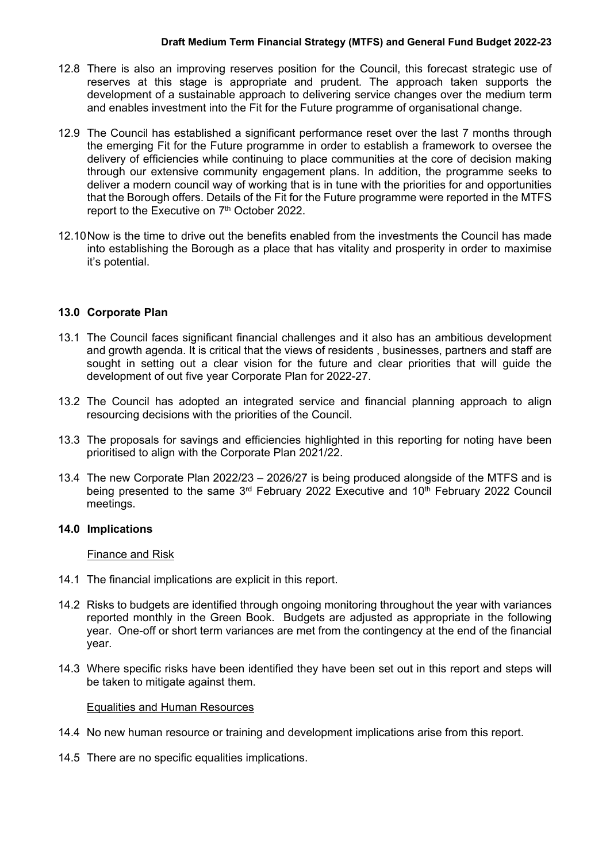- 12.8 There is also an improving reserves position for the Council, this forecast strategic use of reserves at this stage is appropriate and prudent. The approach taken supports the development of a sustainable approach to delivering service changes over the medium term and enables investment into the Fit for the Future programme of organisational change.
- 12.9 The Council has established a significant performance reset over the last 7 months through the emerging Fit for the Future programme in order to establish a framework to oversee the delivery of efficiencies while continuing to place communities at the core of decision making through our extensive community engagement plans. In addition, the programme seeks to deliver a modern council way of working that is in tune with the priorities for and opportunities that the Borough offers. Details of the Fit for the Future programme were reported in the MTFS report to the Executive on 7<sup>th</sup> October 2022.
- 12.10Now is the time to drive out the benefits enabled from the investments the Council has made into establishing the Borough as a place that has vitality and prosperity in order to maximise it's potential.

# **13.0 Corporate Plan**

- 13.1 The Council faces significant financial challenges and it also has an ambitious development and growth agenda. It is critical that the views of residents , businesses, partners and staff are sought in setting out a clear vision for the future and clear priorities that will guide the development of out five year Corporate Plan for 2022-27.
- 13.2 The Council has adopted an integrated service and financial planning approach to align resourcing decisions with the priorities of the Council.
- 13.3 The proposals for savings and efficiencies highlighted in this reporting for noting have been prioritised to align with the Corporate Plan 2021/22.
- 13.4 The new Corporate Plan 2022/23 2026/27 is being produced alongside of the MTFS and is being presented to the same 3<sup>rd</sup> February 2022 Executive and 10<sup>th</sup> February 2022 Council meetings.

## **14.0 Implications**

Finance and Risk

- 14.1 The financial implications are explicit in this report.
- 14.2 Risks to budgets are identified through ongoing monitoring throughout the year with variances reported monthly in the Green Book. Budgets are adjusted as appropriate in the following year. One-off or short term variances are met from the contingency at the end of the financial year.
- 14.3 Where specific risks have been identified they have been set out in this report and steps will be taken to mitigate against them.

#### Equalities and Human Resources

- 14.4 No new human resource or training and development implications arise from this report.
- 14.5 There are no specific equalities implications.